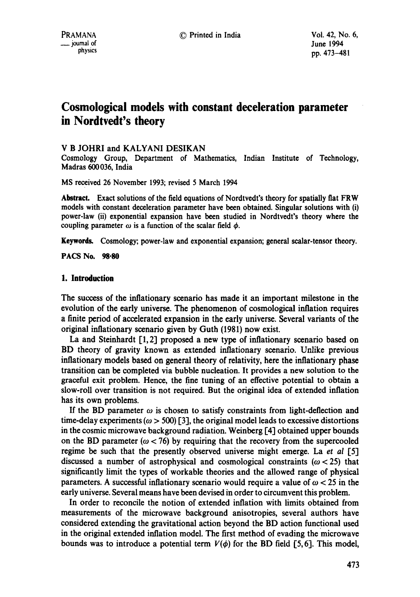# **Cosmological models with constant deceleration parameter in Nordtvedt's theory**

# V B JOHRI and KALYANI DESIKAN

Cosmology Group, Department of Mathematics, Indian Institute of Technology, Madras 600036, India

MS received 26 November 1993; revised 5 March 1994

**Abstract.** Exact solutions of the field equations of Nordtvedt's theory for spatially flat FRW models with constant deceleration parameter have been obtained. Singular solutions with (i) power-law (ii) exponential expansion have been studied in Nordtvedt's theory where the coupling parameter  $\omega$  is a function of the scalar field  $\phi$ .

Keywords. Cosmology; power-law and exponential expansion; general scalar-tensor theory.

**PACS No. 98.80** 

## **1. Introduction**

The success of the inflationary scenario has made it an important milestone in the evolution of the early universe. The phenomenon of cosmological inflation requires a finite period of accelerated expansion in the early universe. Several variants of the original inflationary scenario given by Guth (1981) now exist.

La and Steinhardt [1, 2] proposed a new type of inflationary scenario based on BD theory of gravity known as extended inflationary scenario. Unlike previous inflationary models based on general theory of relativity, here the inflationary phase transition can be completed via bubble nucleation. It provides a new solution to the graceful exit problem. Hence, the fine tuning of an effective potential to obtain a slow-roll over transition is not required. But the original idea of extended inflation has its own problems.

If the BD parameter  $\omega$  is chosen to satisfy constraints from light-deflection and time-delay experiments ( $\omega > 500$ ) [3], the original model leads to excessive distortions in the cosmic microwave background radiation. Weinberg [4] obtained upper bounds on the BD parameter ( $\omega$  < 76) by requiring that the recovery from the supercooled regime be such that the presently observed universe might emerge. La *et al* [5] discussed a number of astrophysical and cosmological constraints ( $\omega$  < 25) that significantly limit the types of workable theories and the allowed range of physical parameters. A successful inflationary scenario would require a value of  $\omega$  < 25 in the early universe. Several means have been devised in order to circumvent this problem.

In order to reconcile the notion of extended inflation with limits obtained from measurements of the microwave background anisotropies, several authors have considered extending the gravitational action beyond the BD action functional used in the original extended inflation model. The first method of evading the microwave bounds was to introduce a potential term  $V(\phi)$  for the BD field [5,6]. This model,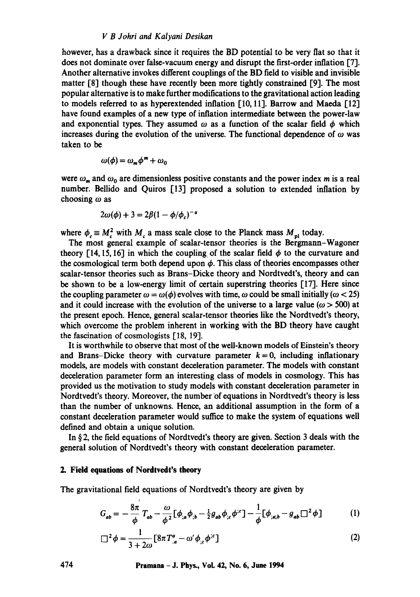## *V B Johri and Kalyani Desikan*

however, has a drawback since it requires the BD potential to be very fiat so that it does not dominate over false-vacuum energy and disrupt the first-order inflation [7]. Another alternative invokes different couplings of the BD field to visible and invisible matter [8] though these have recently been more tightly constrained [9]. The most popular alternative is to make further modifications to the gravitational action leading to models referred to as hyperextended inflation [10, 11]. Barrow and Maeda [12] have found examples of a new type of inflation intermediate between the power-law and exponential types. They assumed  $\omega$  as a function of the scalar field  $\phi$  which increases during the evolution of the universe. The functional dependence of  $\omega$  was taken to be

$$
\omega(\phi) = \omega_m \phi^m + \omega_0
$$

were  $\omega_m$  and  $\omega_0$  are dimensionless positive constants and the power index m is a real number. Bellido and Quiros [13] proposed a solution to extended inflation by choosing  $\omega$  as

$$
2\omega(\phi) + 3 = 2\beta(1 - \phi/\phi_c)^{-\alpha}
$$

where  $\phi_c \equiv M_c^2$  with  $M_c$  a mass scale close to the Planck mass  $M_{pl}$  today.

The most general example of scalar-tensor theories is the Bergmann-Wagoner theory [14, 15, 16] in which the coupling of the scalar field  $\phi$  to the curvature and the cosmological term both depend upon  $\phi$ . This class of theories encompasses other scalar-tensor theories such as Brans-Dicke theory and Nordtvedt's, theory and can be shown to be a low-energy limit of certain superstring theories  $[17]$ . Here since the coupling parameter  $\omega = \omega(\phi)$  evolves with time,  $\omega$  could be small initially ( $\omega < 25$ ) and it could increase with the evolution of the universe to a large value ( $\omega > 500$ ) at the present epoch. Hence, general scalar-tensor theories like the Nordtvedt's theory., which overcome the problem inherent in working with the BD theory have caught the fascination of cosmologists [18, 19].

It is worthwhile to observe that most of the well-known models of Einstein's theory and Brans-Dicke theory with curvature parameter  $k = 0$ , including inflationary models, are models with constant deceleration parameter. The models with constant deceleration parameter form an interesting class of models in cosmology. This has provided us the motivation to study models with constant deceleration parameter in Nordtvedt's theory. Moreover, the number of equations in Nordtvedt's theory is less than the number of unknowns. Hence, an additional assumption in the form of a constant deceleration parameter would suffice to make the system of equations well defined and obtain a unique solution.

In § 2, the field equations of Nordtvedt's theory are given. Section 3 deals with the general solution of Nordtvedt's theory with constant deceleration parameter.

## **2. Field equations of Nordtvedt's theory**

,

The gravitational field equations of Nordtvedt's theory are given by

$$
G_{ab} = -\frac{8\pi}{\phi} T_{ab} - \frac{\omega}{\phi^2} [\phi_{;a} \phi_{;b} - \frac{1}{2} g_{ab} \phi_{;c} \phi^{;c}] - \frac{1}{\phi} [\phi_{;a;b} - g_{ab} \Box^2 \phi]
$$
 (1)

$$
\Box^{2} \phi = \frac{1}{3 + 2\omega} \left[ 8\pi T^{a}_{.a} - \omega' \phi_{;c} \phi^{;c} \right]
$$
 (2)

**474 Pramana - J. Phys., Vol. 42, No. 6, June 1994**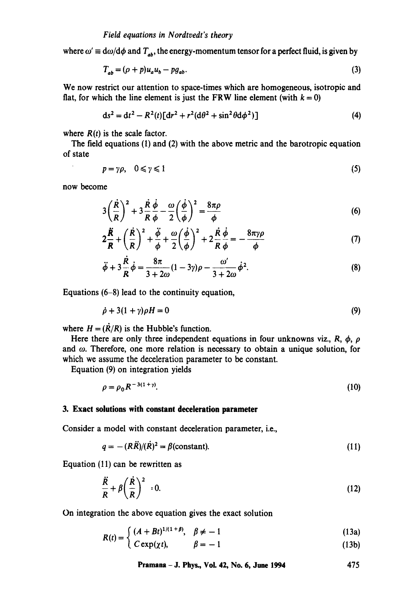where  $\omega' \equiv d\omega/d\phi$  and  $T_{ab}$ , the energy-momentum tensor for a perfect fluid, is given by

$$
T_{ab} = (\rho + p)u_a u_b - pg_{ab}.\tag{3}
$$

We now restrict our attention to space-times which are homogeneous, isotropic and flat, for which the line element is just the FRW line element (with  $k = 0$ )

$$
ds^{2} = dt^{2} - R^{2}(t)[dr^{2} + r^{2}(d\theta^{2} + \sin^{2}\theta d\phi^{2})]
$$
\n(4)

where  $R(t)$  is the scale factor.

The field equations (1) and (2) with the above metric and the barotropic equation of state

$$
p = \gamma \rho, \quad 0 \le \gamma \le 1 \tag{5}
$$

now become

$$
3\left(\frac{\dot{R}}{R}\right)^2 + 3\frac{\dot{R}}{R}\frac{\dot{\phi}}{\phi} - \frac{\omega}{2}\left(\frac{\dot{\phi}}{\phi}\right)^2 = \frac{8\pi\rho}{\phi}
$$
 (6)

$$
2\frac{\ddot{R}}{R} + \left(\frac{\dot{R}}{R}\right)^2 + \frac{\ddot{\phi}}{\phi} + \frac{\omega}{2}\left(\frac{\dot{\phi}}{\phi}\right)^2 + 2\frac{\dot{R}}{R}\frac{\dot{\phi}}{\phi} = -\frac{8\pi\gamma\rho}{\phi}
$$
(7)

$$
\ddot{\phi} + 3\frac{\dot{R}}{R}\dot{\phi} = \frac{8\pi}{3 + 2\omega}(1 - 3\gamma)\rho - \frac{\omega'}{3 + 2\omega}\dot{\phi}^2.
$$
 (8)

Equations (6-8) lead to the continuity equation,

$$
\dot{\rho} + 3(1+\gamma)\rho H = 0 \tag{9}
$$

where  $H = (\dot{R}/R)$  is the Hubble's function.

Here there are only three independent equations in four unknowns viz., R,  $\phi$ ,  $\rho$ and  $\omega$ . Therefore, one more relation is necessary to obtain a unique solution, for which we assume the deceleration parameter to be constant.

Equation (9) on integration yields

$$
\rho = \rho_0 R^{-3(1+\gamma)}.\tag{10}
$$

#### **3. Exact solutions with constant deceleration parameter**

Consider a model with constant deceleration parameter, i.e.,

$$
q = - (R\ddot{R})/(\dot{R})^2 = \beta \text{(constant)}.
$$
 (11)

Equation (11) can be rewritten as

$$
\frac{\ddot{R}}{R} + \beta \left(\frac{\dot{R}}{R}\right)^2 = 0.
$$
\n(12)

On integration the above equation gives the exact solution

$$
P(A) = \int (A + Bt)^{1/(1 + \beta)}, \quad \beta \neq -1
$$
 (13a)

 $R(t) = \begin{cases} (A + Bt)^{1/(1 + \rho)}, & \beta \neq -1 \\ C \exp(\chi t), & \beta = -1 \end{cases}$  $(13b)$ 

**Pramana - J. Phys., VoL 42, No. 6, June 1994 475**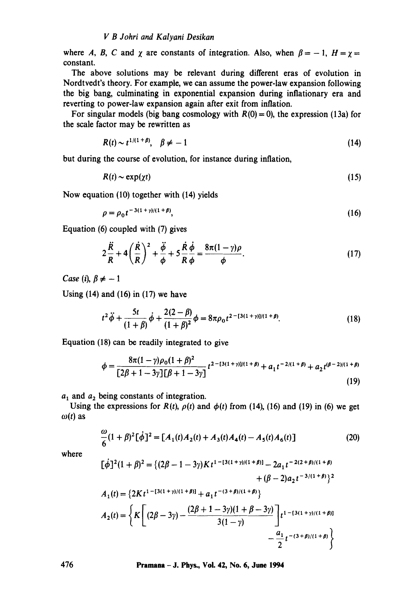where A, B, C and  $\chi$  are constants of integration. Also, when  $\beta = -1$ ,  $H = \chi =$ constant.

The above solutions may be relevant during different eras of evolution in Nordtvedt's theory. For example, we can assume the power-law expansion following the big bang, culminating in exponential expansion during inflationary era and reverting to power-law expansion again after exit from inflation.

For singular models (big bang cosmology with  $R(0) = 0$ ), the expression (13a) for the scale factor may be rewritten as

$$
R(t) \sim t^{1/(1+\beta)}, \quad \beta \neq -1 \tag{14}
$$

but during the course of evolution, for instance during inflation,

$$
R(t) \sim \exp(\chi t) \tag{15}
$$

Now equation (10) together with (14) yields

$$
\rho = \rho_0 t^{-3(1+y)/(1+\beta)},\tag{16}
$$

Equation (6) coupled with (7) gives

$$
2\frac{\ddot{R}}{R} + 4\left(\frac{\dot{R}}{R}\right)^2 + \frac{\ddot{\phi}}{\phi} + 5\frac{\dot{R}}{R}\frac{\dot{\phi}}{\phi} = \frac{8\pi(1-\gamma)\rho}{\phi}.
$$
 (17)

*Case* (*i*),  $\beta \neq -1$ 

Using  $(14)$  and  $(16)$  in  $(17)$  we have

$$
t^{2}\ddot{\phi} + \frac{5t}{(1+\beta)}\dot{\phi} + \frac{2(2-\beta)}{(1+\beta)^{2}}\phi = 8\pi\rho_{0}t^{2 - [3(1+\gamma)]/(1+\beta)}.
$$
 (18)

Equation (18) can be readily integrated to give

$$
\phi = \frac{8\pi(1-\gamma)\rho_0(1+\beta)^2}{[2\beta+1-3\gamma][\beta+1-3\gamma]}t^{2-(3(1+\gamma))/(1+\beta)} + a_1t^{-2/(1+\beta)} + a_2t^{(\beta-2)/(1+\beta)}
$$
\n(19)

 $a_1$  and  $a_2$  being constants of integration.

Using the expressions for  $R(t)$ ,  $\rho(t)$  and  $\phi(t)$  from (14), (16) and (19) in (6) we get  $\omega(t)$  as

$$
\frac{\omega}{6}(1+\beta)^2[\dot{\phi}]^2 = [A_1(t)A_2(t) + A_3(t)A_4(t) - A_5(t)A_6(t)]
$$
\n(20)

where

$$
[\dot{\phi}]^{2}(1+\beta)^{2} = \{(2\beta - 1 - 3\gamma)Kt^{1 - [3(1 + \gamma)/(1 + \beta)]} - 2a_{1}t^{-2(2 + \beta)/(1 + \beta)} + (\beta - 2)a_{2}t^{-3/(1 + \beta)}\}^{2}
$$
  

$$
A_{1}(t) = \{2Kt^{1 - [3(1 + \gamma)/(1 + \beta)]} + a_{1}t^{-(3 + \beta)/(1 + \beta)}\}
$$
  

$$
A_{2}(t) = \left\{K\left[(2\beta - 3\gamma) - \frac{(2\beta + 1 - 3\gamma)(1 + \beta - 3\gamma)}{3(1 - \gamma)}\right]t^{1 - [3(1 + \gamma)/(1 + \beta)]} - \frac{a_{1}}{2}t^{-(3 + \beta)/(1 + \beta)}\right\}
$$

**476 Pramana - J. Phys., Vol. 42, No. 6, June 1994**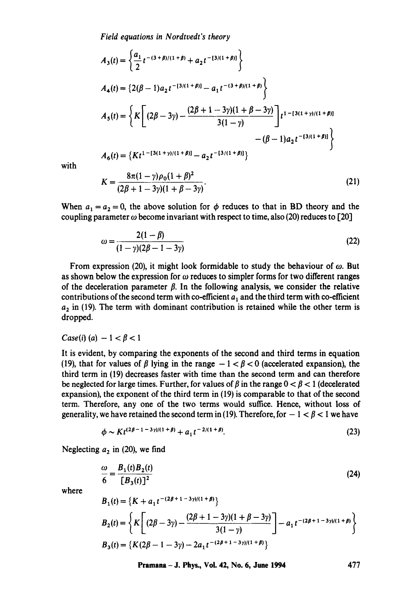*Field equations in Nordtvedt's theory* 

$$
A_3(t) = \left\{ \frac{a_1}{2} t^{-(3+\beta)/(1+\beta)} + a_2 t^{-(3/(1+\beta))} \right\}
$$
  
\n
$$
A_4(t) = \left\{ 2(\beta - 1)a_2 t^{-(3/(1+\beta))} - a_1 t^{-(3+\beta)/(1+\beta)} \right\}
$$
  
\n
$$
A_5(t) = \left\{ K \left[ (2\beta - 3\gamma) - \frac{(2\beta + 1 - 3\gamma)(1 + \beta - 3\gamma)}{3(1 - \gamma)} \right] t^{1 - (3(1+\gamma)/(1+\beta))} - (\beta - 1)a_2 t^{-(3/(1+\beta))} \right\}
$$
  
\n
$$
A_6(t) = \left\{ K t^{1 - (3(1+\gamma)/(1+\beta))} - a_2 t^{-(3/(1+\beta))} \right\}
$$
  
\n
$$
K = \frac{8\pi (1 - \gamma)\rho_0 (1 + \beta)^2}{\gamma (1 + \beta)^2}
$$
\n(21)

with

$$
K = \frac{8\pi(1-\gamma)\rho_0(1+\beta)^2}{(2\beta+1-3\gamma)(1+\beta-3\gamma)}.
$$
\n(21)

When  $a_1 = a_2 = 0$ , the above solution for  $\phi$  reduces to that in BD theory and the coupling parameter  $\omega$  become invariant with respect to time, also (20) reduces to [20]

$$
\omega = \frac{2(1-\beta)}{(1-\gamma)(2\beta-1-3\gamma)}\tag{22}
$$

From expression (20), it might look formidable to study the behaviour of  $\omega$ . But as shown below the expression for  $\omega$  reduces to simpler forms for two different ranges of the deceleration parameter  $\beta$ . In the following analysis, we consider the relative contributions of the second term with co-efficient  $a_1$  and the third term with co-efficient  $a_2$  in (19). The term with dominant contribution is retained while the other term is dropped.

## *Case(i)* (*a*)  $-1 < \beta < 1$

It is evident, by comparing the exponents of the second and third terms in equation (19), that for values of  $\beta$  lying in the range  $-1 < \beta < 0$  (accelerated expansion), the third term in (19) decreases faster with time than the second term and can therefore be neglected for large times. Further, for values of  $\beta$  in the range  $0 < \beta < 1$  (decelerated expansion), the exponent of the third term in (19) is comparable to that of the second term. Therefore, any one of the two terms would suffice. Hence, without loss of generality, we have retained the second term in (19). Therefore, for  $-1 < \beta < 1$  we have

$$
\phi \sim K t^{(2\beta - 1 - 3\gamma)/(1 + \beta)} + a_1 t^{-2/(1 + \beta)}.
$$
\n(23)

Neglecting  $a_2$  in (20), we find

$$
\frac{\omega}{6} = \frac{B_1(t)B_2(t)}{[B_3(t)]^2} \tag{24}
$$

where

$$
B_1(t) = \{K + a_1 t^{-(2\beta + 1 - 3\gamma)/(1 + \beta)}\}
$$
  
\n
$$
B_2(t) = \left\{K\left[(2\beta - 3\gamma) - \frac{(2\beta + 1 - 3\gamma)(1 + \beta - 3\gamma)}{3(1 - \gamma)}\right] - a_1 t^{-(2\beta + 1 - 3\gamma)/(1 + \beta)}\right\}
$$
  
\n
$$
B_3(t) = \left\{K(2\beta - 1 - 3\gamma) - 2a_1 t^{-(2\beta + 1 - 3\gamma)/(1 + \beta)}\right\}
$$

**Pramana - J. Phys., Vol. 42, No. 6, June 1994** 477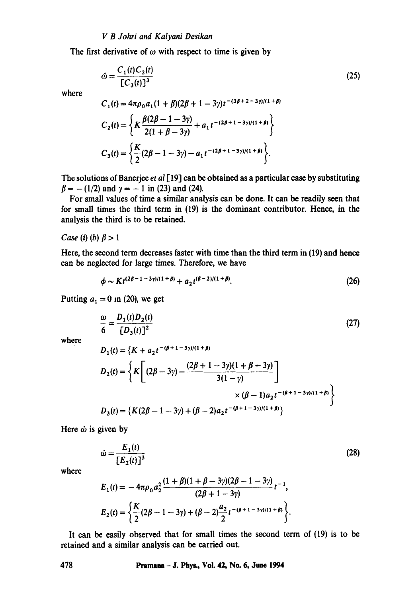## *V B Johri and Kalyani Desikan*

The first derivative of  $\omega$  with respect to time is given by

$$
\dot{\omega} = \frac{C_1(t)C_2(t)}{[C_3(t)]^3}
$$
\n(25)

where

$$
C_1(t) = 4\pi \rho_0 a_1 (1 + \beta)(2\beta + 1 - 3\gamma)t^{-(3\beta + 2 - 3\gamma)/(1 + \beta)}
$$
  
\n
$$
C_2(t) = \left\{ K \frac{\beta(2\beta - 1 - 3\gamma)}{2(1 + \beta - 3\gamma)} + a_1 t^{-(2\beta + 1 - 3\gamma)/(1 + \beta)} \right\}
$$
  
\n
$$
C_3(t) = \left\{ \frac{K}{2} (2\beta - 1 - 3\gamma) - a_1 t^{-(2\beta + 1 - 3\gamma)/(1 + \beta)} \right\}.
$$

The solutions of Banerjee *et al* [ 19] can be obtained as a particular case by substituting  $\beta = -(1/2)$  and  $\gamma = -1$  in (23) and (24).

For small values of time a similar analysis can be done. It can be readily seen that for small times the third term in (19) is the dominant contributor. Hence, in the analysis the third is to be retained.

*Case* (*i*) (*b*)  $\beta > 1$ 

Here, the second term decreases faster with time than the third term in (19) and hence can be neglected for large times. Therefore, we have

$$
\phi \sim K t^{(2\beta - 1 - 3\gamma)/(1 + \beta)} + a_2 t^{(\beta - 2)/(1 + \beta)}.
$$
 (26)

Putting  $a_1 = 0$  in (20), we get

$$
\frac{\omega}{6} = \frac{D_1(t)D_2(t)}{[D_3(t)]^2} \tag{27}
$$

where

$$
D_1(t) = \left\{ K + a_2 t^{-(\beta + 1 - 3\gamma)/(1 + \beta)} \right\}
$$
  
\n
$$
D_2(t) = \left\{ K \left[ (2\beta - 3\gamma) - \frac{(2\beta + 1 - 3\gamma)(1 + \beta - 3\gamma)}{3(1 - \gamma)} \right] \right\}
$$
  
\n
$$
\times (\beta - 1)a_2 t^{-(\beta + 1 - 3\gamma)/(1 + \beta)} \right\}
$$
  
\n
$$
D_3(t) = \left\{ K(2\beta - 1 - 3\gamma) + (\beta - 2)a_2 t^{-(\beta + 1 - 3\gamma)/(1 + \beta)} \right\}
$$

Here  $\dot{\omega}$  is given by

$$
\dot{\omega} = \frac{E_1(t)}{[E_2(t)]^3}
$$
 (28)

where

$$
E_1(t) = -4\pi\rho_0 a_2^2 \frac{(1+\beta)(1+\beta-3\gamma)(2\beta-1-3\gamma)}{(2\beta+1-3\gamma)} t^{-1},
$$
  
\n
$$
E_2(t) = \left\{ \frac{K}{2} (2\beta-1-3\gamma) + (\beta-2) \frac{a_2}{2} t^{-(\beta+1-3\gamma)/(1+\beta)} \right\}.
$$

It can be easily observed that for small times the second term of (19) is to be retained and a similar analysis can be carried out.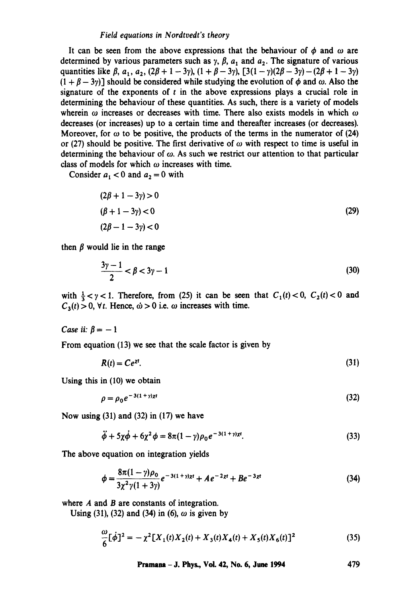## *Field equations in Nordtvedt's theory*

It can be seen from the above expressions that the behaviour of  $\phi$  and  $\omega$  are determined by various parameters such as  $\gamma$ ,  $\beta$ ,  $a_1$  and  $a_2$ . The signature of various quantities like  $\beta$ ,  $a_1$ ,  $a_2$ ,  $(2\beta + 1 - 3\gamma)$ ,  $(1 + \beta - 3\gamma)$ ,  $[3(1 - \gamma)(2\beta - 3\gamma) - (2\beta + 1 - 3\gamma)$  $(1 + \beta - 3\gamma)$ ] should be considered while studying the evolution of  $\phi$  and  $\omega$ . Also the signature of the exponents of  $t$  in the above expressions plays a crucial role in determining the behaviour of these quantities. As such, there is a variety of models wherein  $\omega$  increases or decreases with time. There also exists models in which  $\omega$ decreases (or increases) up to a certain time and thereafter increases (or decreases). Moreover, for  $\omega$  to be positive, the products of the terms in the numerator of (24) or (27) should be positive. The first derivative of  $\omega$  with respect to time is useful in determining the behaviour of  $\omega$ . As such we restrict our attention to that particular class of models for which  $\omega$  increases with time.

Consider  $a_1 < 0$  and  $a_2 = 0$  with

$$
(2\beta + 1 - 3\gamma) > 0
$$
  
( $\beta + 1 - 3\gamma$ ) < 0  
(2 $\beta - 1 - 3\gamma$ ) < 0  
(29)

then  $\beta$  would lie in the range

$$
\frac{3\gamma - 1}{2} < \beta < 3\gamma - 1\tag{30}
$$

with  $\frac{1}{3} < y < 1$ . Therefore, from (25) it can be seen that  $C_1(t) < 0$ ,  $C_2(t) < 0$  and  $C_3(t) > 0$ ,  $\forall t$ . Hence,  $\dot{\omega} > 0$  i.e.  $\omega$  increases with time.

*Case ii:*  $\beta = -1$ 

From equation (13) we see that the scale factor is given by

$$
R(t) = Ce^{xt}.\tag{31}
$$

Using this in (10) we obtain

$$
\rho = \rho_0 e^{-3(1+\gamma)x} \tag{32}
$$

Now using  $(31)$  and  $(32)$  in  $(17)$  we have

$$
\ddot{\phi} + 5\chi\dot{\phi} + 6\chi^2\phi = 8\pi(1-\gamma)\rho_0 e^{-3(1+\gamma)x^2}.
$$
 (33)

The above equation on integration yields

$$
\phi = \frac{8\pi(1-\gamma)\rho_0}{3\chi^2\gamma(1+3\gamma)}e^{-3(1+\gamma)\chi t} + Ae^{-2\chi t} + Be^{-3\chi t}
$$
\n(34)

where A and B are constants of integration.

Using (31), (32) and (34) in (6),  $\omega$  is given by

$$
\frac{\omega}{6} [\dot{\phi}]^2 = -\chi^2 [X_1(t)X_2(t) + X_3(t)X_4(t) + X_5(t)X_6(t)]^2
$$
\n(35)

**Pramana - J. Phys., Vol. 42, No. 6, June 1994 479**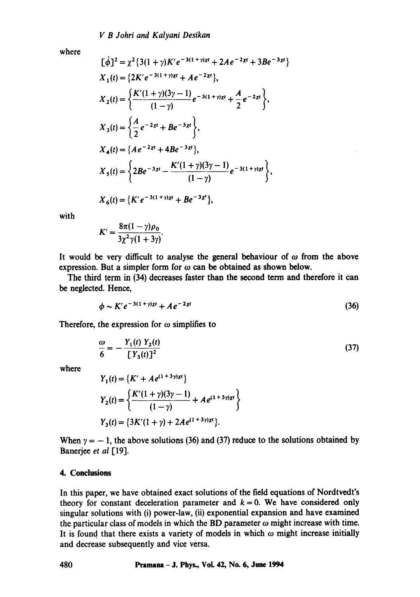where

$$
[\dot{\phi}]^2 = \chi^2 \{3(1+\gamma)K'e^{-3(1+\gamma)xt} + 2Ae^{-2\chi t} + 3Be^{-3\chi t}\}
$$
  
\n
$$
X_1(t) = \{2K'e^{-3(1+\gamma)xt} + Ae^{-2\chi t}\},
$$
  
\n
$$
X_2(t) = \{\frac{K'(1+\gamma)(3\gamma-1)}{(1-\gamma)}e^{-3(1+\gamma)xt} + \frac{A}{2}e^{-2\chi t}\},
$$
  
\n
$$
X_3(t) = \{\frac{A}{2}e^{-2\chi t} + Be^{-3\chi t}\},
$$
  
\n
$$
X_4(t) = \{Ae^{-2\chi t} + 4Be^{-3\chi t}\},
$$
  
\n
$$
X_5(t) = \{2Be^{-3\chi t} - \frac{K'(1+\gamma)(3\gamma-1)}{(1-\gamma)}e^{-3(1+\gamma)xt}\},
$$
  
\n
$$
X_6(t) = \{K'e^{-3(1+\gamma)xt} + Be^{-3\chi t}\},
$$

with

$$
K'=\frac{8\pi(1-\gamma)\rho_0}{3\chi^2\gamma(1+3\gamma)}.
$$

It would be very difficult to analyse the general behaviour of  $\omega$  from the above expression. But a simpler form for  $\omega$  can be obtained as shown below.

The third term in (34) decreases faster than the second term and therefore it can be neglected. Hence,

$$
\phi \sim K' e^{-3(1+\gamma)xt} + A e^{-2xt} \tag{36}
$$

Therefore, the expression for  $\omega$  simplifies to

$$
\frac{\omega}{6} = -\frac{Y_1(t) Y_2(t)}{[Y_3(t)]^2} \tag{37}
$$

where

$$
Y_1(t) = \{K' + Ae^{(1+3\gamma)xt}\}
$$
  
\n
$$
Y_2(t) = \left\{\frac{K'(1+\gamma)(3\gamma-1)}{(1-\gamma)} + Ae^{(1+3\gamma)xt}\right\}
$$
  
\n
$$
Y_3(t) = \{3K'(1+\gamma) + 2Ae^{(1+3\gamma)xt}\}.
$$

When  $\gamma = -1$ , the above solutions (36) and (37) reduce to the solutions obtained by Banerjee *et ai* [19].

#### **4. Conclusions**

In this paper, we have obtained exact solutions of the field equations of Nordtvedt's theory for constant deceleration parameter and  $k = 0$ . We have considered only singular solutions with (i) power-law, (ii) exponential expansion and have examined the particular class of models in which the BD parameter  $\omega$  might increase with time. It is found that there exists a variety of models in which  $\omega$  might increase initially and decrease subsequently and vice versa.